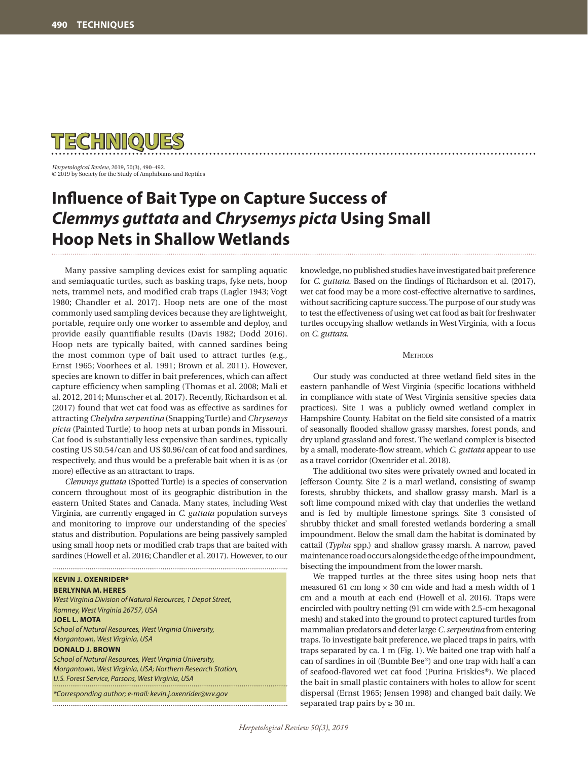

*Herpetological Review*, 2019, 50(3), 490–492. © 2019 by Society for the Study of Amphibians and Reptiles

# **Influence of Bait Type on Capture Success of**  *Clemmys guttata* **and** *Chrysemys picta* **Using Small Hoop Nets in Shallow Wetlands**

Many passive sampling devices exist for sampling aquatic and semiaquatic turtles, such as basking traps, fyke nets, hoop nets, trammel nets, and modified crab traps (Lagler 1943; Vogt 1980; Chandler et al. 2017). Hoop nets are one of the most commonly used sampling devices because they are lightweight, portable, require only one worker to assemble and deploy, and provide easily quantifiable results (Davis 1982; Dodd 2016). Hoop nets are typically baited, with canned sardines being the most common type of bait used to attract turtles (e.g., Ernst 1965; Voorhees et al. 1991; Brown et al. 2011). However, species are known to differ in bait preferences, which can affect capture efficiency when sampling (Thomas et al. 2008; Mali et al. 2012, 2014; Munscher et al. 2017). Recently, Richardson et al. (2017) found that wet cat food was as effective as sardines for attracting *Chelydra serpentina* (Snapping Turtle) and *Chrysemys picta* (Painted Turtle) to hoop nets at urban ponds in Missouri. Cat food is substantially less expensive than sardines, typically costing US \$0.54/can and US \$0.96/can of cat food and sardines, respectively, and thus would be a preferable bait when it is as (or more) effective as an attractant to traps.

*Clemmys guttata* (Spotted Turtle) is a species of conservation concern throughout most of its geographic distribution in the eastern United States and Canada. Many states, including West Virginia, are currently engaged in *C. guttata* population surveys and monitoring to improve our understanding of the species' status and distribution. Populations are being passively sampled using small hoop nets or modified crab traps that are baited with sardines (Howell et al. 2016; Chandler et al. 2017). However, to our

## **KEVIN J. OXENRIDER\***

**BERLYNNA M. HERES** *West Virginia Division of Natural Resources, 1 Depot Street, Romney, West Virginia 26757, USA* **JOEL L. MOTA** *School of Natural Resources, West Virginia University, Morgantown, West Virginia, USA* **DONALD J. BROWN** *School of Natural Resources, West Virginia University, Morgantown, West Virginia, USA; Northern Research Station,* 

*U.S. Forest Service, Parsons, West Virginia, USA \*Corresponding author; e-mail: kevin.j.oxenrider@wv.gov*

knowledge, no published studies have investigated bait preference for *C. guttata*. Based on the findings of Richardson et al. (2017), wet cat food may be a more cost-effective alternative to sardines, without sacrificing capture success. The purpose of our study was to test the effectiveness of using wet cat food as bait for freshwater turtles occupying shallow wetlands in West Virginia, with a focus on *C. guttata*.

#### **METHODS**

Our study was conducted at three wetland field sites in the eastern panhandle of West Virginia (specific locations withheld in compliance with state of West Virginia sensitive species data practices). Site 1 was a publicly owned wetland complex in Hampshire County. Habitat on the field site consisted of a matrix of seasonally flooded shallow grassy marshes, forest ponds, and dry upland grassland and forest. The wetland complex is bisected by a small, moderate-flow stream, which *C. guttata* appear to use as a travel corridor (Oxenrider et al. 2018).

The additional two sites were privately owned and located in Jefferson County. Site 2 is a marl wetland, consisting of swamp forests, shrubby thickets, and shallow grassy marsh. Marl is a soft lime compound mixed with clay that underlies the wetland and is fed by multiple limestone springs. Site 3 consisted of shrubby thicket and small forested wetlands bordering a small impoundment. Below the small dam the habitat is dominated by cattail (*Typha* spp.) and shallow grassy marsh. A narrow, paved maintenance road occurs alongside the edge of the impoundment, bisecting the impoundment from the lower marsh.

We trapped turtles at the three sites using hoop nets that measured 61 cm long  $\times$  30 cm wide and had a mesh width of 1 cm and a mouth at each end (Howell et al. 2016). Traps were encircled with poultry netting (91 cm wide with 2.5-cm hexagonal mesh) and staked into the ground to protect captured turtles from mammalian predators and deter large *C. serpentina* from entering traps. To investigate bait preference, we placed traps in pairs, with traps separated by ca. 1 m (Fig. 1). We baited one trap with half a can of sardines in oil (Bumble Bee®) and one trap with half a can of seafood-flavored wet cat food (Purina Friskies®). We placed the bait in small plastic containers with holes to allow for scent dispersal (Ernst 1965; Jensen 1998) and changed bait daily. We separated trap pairs by  $\geq 30$  m.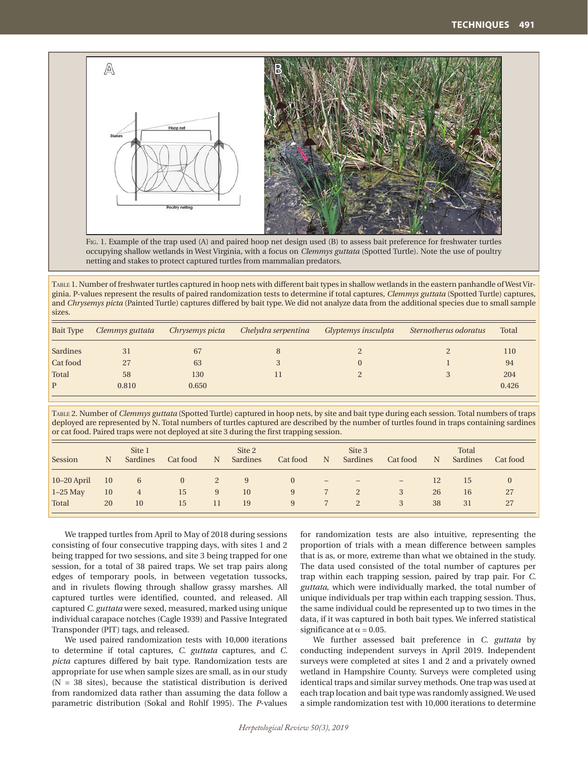

Fig. 1. Example of the trap used (A) and paired hoop net design used (B) to assess bait preference for freshwater turtles occupying shallow wetlands in West Virginia, with a focus on *Clemmys guttata* (Spotted Turtle). Note the use of poultry netting and stakes to protect captured turtles from mammalian predators.

Table 1. Number of freshwater turtles captured in hoop nets with different bait types in shallow wetlands in the eastern panhandle of West Virginia. P-values represent the results of paired randomization tests to determine if total captures, *Clemmys guttata* (Spotted Turtle) captures, and *Chrysemys picta* (Painted Turtle) captures differed by bait type. We did not analyze data from the additional species due to small sample sizes.

| Bait Type | Clemmys guttata | Chrysemys picta | Chelydra serpentina | Glyptemys insculpta | Sternotherus odoratus | Total |
|-----------|-----------------|-----------------|---------------------|---------------------|-----------------------|-------|
| Sardines  | 31              | 67              |                     |                     |                       | 110   |
| Cat food  | 27              | 63              |                     |                     |                       | 94    |
| Total     | 58              | 130             |                     |                     |                       | 204   |
| P         | 0.810           | 0.650           |                     |                     |                       | 0.426 |

Table 2. Number of *Clemmys guttata* (Spotted Turtle) captured in hoop nets, by site and bait type during each session. Total numbers of traps deployed are represented by N. Total numbers of turtles captured are described by the number of turtles found in traps containing sardines or cat food. Paired traps were not deployed at site 3 during the first trapping session.

| Session       | N             | Site 1<br>Sardines | Cat food | N  | Site 2<br>Sardines | Cat food | N                 | Site 3<br>Sardines       | Cat food          | N  | Total<br>Sardines | Cat food |
|---------------|---------------|--------------------|----------|----|--------------------|----------|-------------------|--------------------------|-------------------|----|-------------------|----------|
| $10-20$ April | <sup>10</sup> | 6                  | $\theta$ | 2  | 9                  | $\theta$ | $\qquad \qquad -$ | $\overline{\phantom{0}}$ | $\qquad \qquad -$ | 12 | 15                | $\theta$ |
| $1-25$ May    | 10            | 4                  | 15       | 9  | 10                 | 9        |                   | 2                        | 3                 | 26 | 16                | 27       |
| Total         | 20            | 10                 | 15       | 11 | 19                 | 9        |                   |                          | 3                 | 38 | 31                | 27       |

We trapped turtles from April to May of 2018 during sessions consisting of four consecutive trapping days, with sites 1 and 2 being trapped for two sessions, and site 3 being trapped for one session, for a total of 38 paired traps. We set trap pairs along edges of temporary pools, in between vegetation tussocks, and in rivulets flowing through shallow grassy marshes. All captured turtles were identified, counted, and released. All captured *C. guttata* were sexed, measured, marked using unique individual carapace notches (Cagle 1939) and Passive Integrated Transponder (PIT) tags, and released.

We used paired randomization tests with 10,000 iterations to determine if total captures, *C. guttata* captures, and *C. picta* captures differed by bait type. Randomization tests are appropriate for use when sample sizes are small, as in our study  $(N = 38$  sites), because the statistical distribution is derived from randomized data rather than assuming the data follow a parametric distribution (Sokal and Rohlf 1995). The *P*-values for randomization tests are also intuitive, representing the proportion of trials with a mean difference between samples that is as, or more, extreme than what we obtained in the study. The data used consisted of the total number of captures per trap within each trapping session, paired by trap pair. For *C. guttata*, which were individually marked, the total number of unique individuals per trap within each trapping session. Thus, the same individual could be represented up to two times in the data, if it was captured in both bait types. We inferred statistical significance at  $\alpha$  = 0.05.

We further assessed bait preference in *C. guttata* by conducting independent surveys in April 2019. Independent surveys were completed at sites 1 and 2 and a privately owned wetland in Hampshire County. Surveys were completed using identical traps and similar survey methods. One trap was used at each trap location and bait type was randomly assigned. We used a simple randomization test with 10,000 iterations to determine